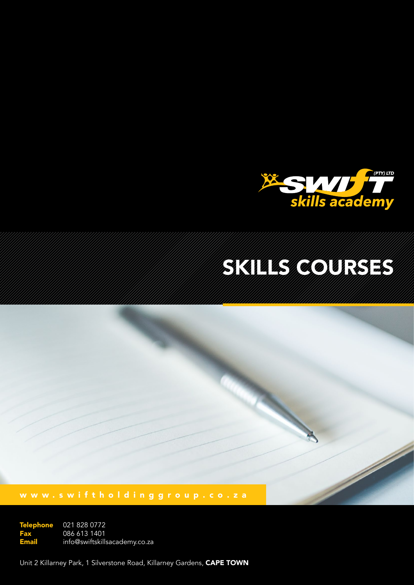

# Skills Courses

021 828 0772 086 613 1401 info@swiftskillsacademy.co.za Telephone Fax Email

Unit 2 Killarney Park, 1 Silverstone Road, Killarney Gardens, CAPE TOWN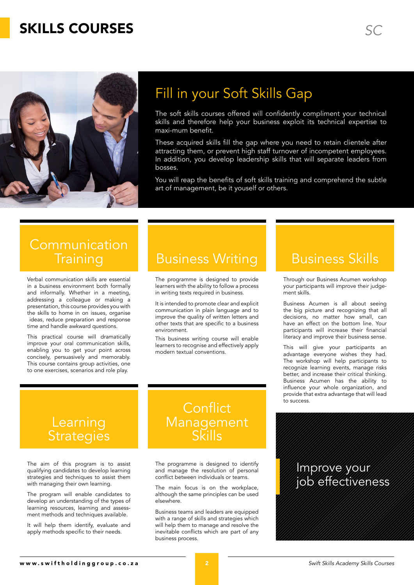### **SKILLS COURSES** *SKILLS* **COURSES**



# Fill in your Soft Skills Gap

The soft skills courses offered will confidently compliment your technical skills and therefore help your business exploit its technical expertise to maxi-mum benefit.

These acquired skills fill the gap where you need to retain clientele after attracting them, or prevent high staff turnover of incompetent employees. In addition, you develop leadership skills that will separate leaders from bosses.

You will reap the benefits of soft skills training and comprehend the subtle art of management, be it youself or others.

### **Communication Training**

Verbal communication skills are essential in a business environment both formally and informally. Whether in a meeting, addressing a colleague or making a presentation, this course provides you with the skills to home in on issues, organise ideas, reduce preparation and response time and handle awkward questions.

This practical course will dramatically improve your oral communication skills, enabling you to get your point across concisely, persuasively and memorably. This course contains group activities, one to one exercises, scenarios and role play.

### Business Writing Business Skills

The programme is designed to provide learners with the ability to follow a process in writing texts required in business.

It is intended to promote clear and explicit communication in plain language and to improve the quality of written letters and other texts that are specific to a business environment.

This business writing course will enable learners to recognise and effectively apply modern textual conventions.

Through our Business Acumen workshop your participants will improve their judgement skills.

Business Acumen is all about seeing the big picture and recognizing that all decisions, no matter how small, can have an effect on the bottom line. Your participants will increase their financial literacy and improve their business sense.

This will give your participants an advantage everyone wishes they had. The workshop will help participants to recognize learning events, manage risks better, and increase their critical thinking. Business Acumen has the ability to influence your whole organization, and provide that extra advantage that will lead to success.

### Learning **Strategies**

The aim of this program is to assist qualifying candidates to develop learning strategies and techniques to assist them with managing their own learning.

The program will enable candidates to develop an understanding of the types of learning resources, learning and assessment methods and techniques available.

It will help them identify, evaluate and apply methods specific to their needs.

### **Conflict Management** Skills

The programme is designed to identify and manage the resolution of personal conflict between individuals or teams.

The main focus is on the workplace, although the same principles can be used elsewhere.

Business teams and leaders are equipped with a range of skills and strategies which will help them to manage and resolve the inevitable conflicts which are part of any business process.

### Improve your job effectiveness